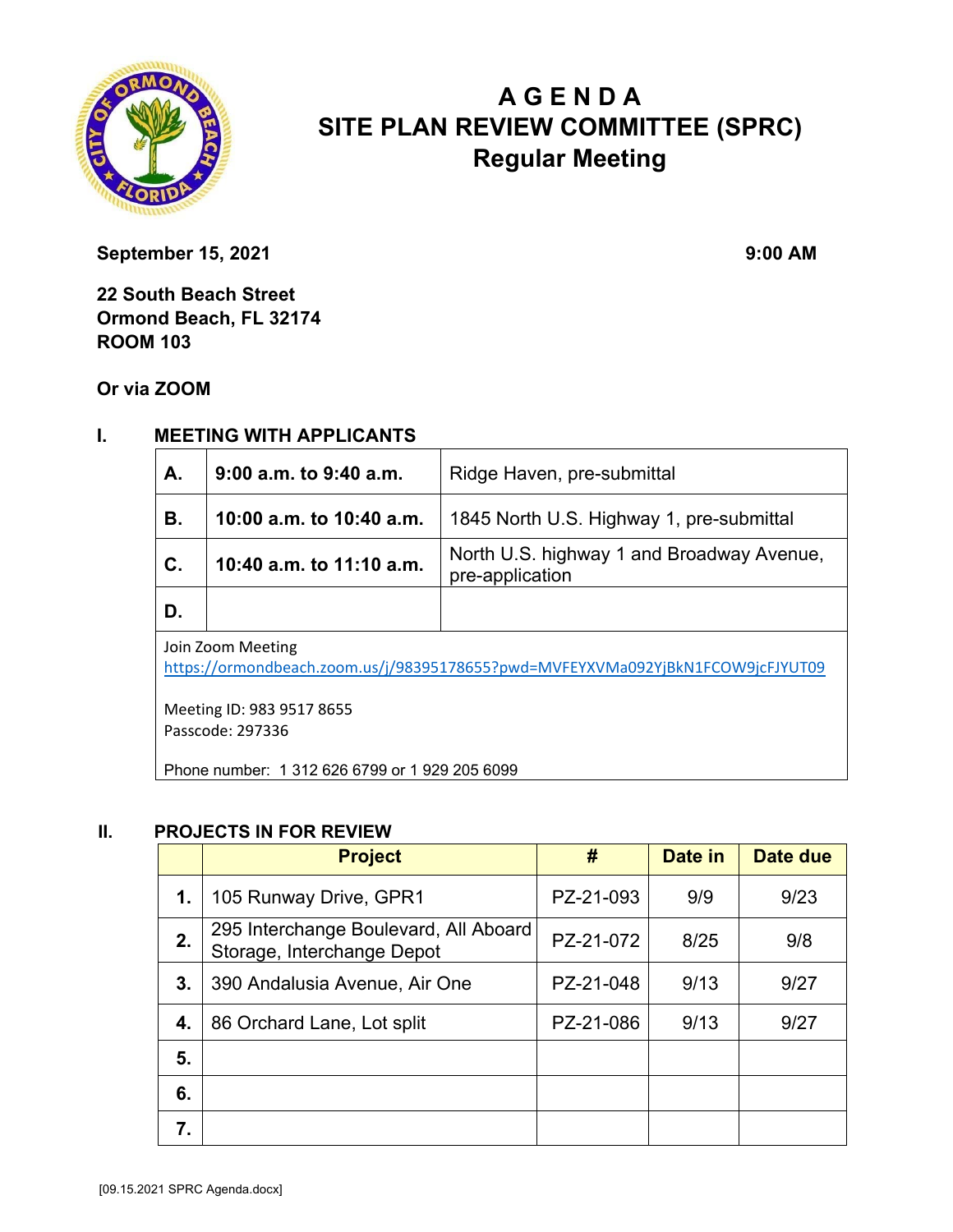

# **A G E N D A SITE PLAN REVIEW COMMITTEE (SPRC) Regular Meeting**

**September 15, 2021** 9:00 AM

**22 South Beach Street Ormond Beach, FL 32174 ROOM 103** 

**Or via ZOOM**

### **I. MEETING WITH APPLICANTS**

| А.                                                                                                  | $9:00$ a.m. to $9:40$ a.m. | Ridge Haven, pre-submittal                                   |  |  |
|-----------------------------------------------------------------------------------------------------|----------------------------|--------------------------------------------------------------|--|--|
| В.                                                                                                  | 10:00 a.m. to 10:40 a.m.   | 1845 North U.S. Highway 1, pre-submittal                     |  |  |
| C.                                                                                                  | 10:40 a.m. to 11:10 a.m.   | North U.S. highway 1 and Broadway Avenue,<br>pre-application |  |  |
| D.                                                                                                  |                            |                                                              |  |  |
| Join Zoom Meeting<br>https://ormondbeach.zoom.us/j/98395178655?pwd=MVFEYXVMa092YjBkN1FCOW9jcFJYUT09 |                            |                                                              |  |  |

Meeting ID: 983 9517 8655 Passcode: 297336

Phone number: 1 312 626 6799 or 1 929 205 6099

#### **II. PROJECTS IN FOR REVIEW**

|    | <b>Project</b>                                                      | #         | Date in | Date due |
|----|---------------------------------------------------------------------|-----------|---------|----------|
| 1. | 105 Runway Drive, GPR1                                              | PZ-21-093 | 9/9     | 9/23     |
| 2. | 295 Interchange Boulevard, All Aboard<br>Storage, Interchange Depot | PZ-21-072 | 8/25    | 9/8      |
| 3. | 390 Andalusia Avenue, Air One                                       | PZ-21-048 | 9/13    | 9/27     |
| 4. | 86 Orchard Lane, Lot split                                          | PZ-21-086 | 9/13    | 9/27     |
| 5. |                                                                     |           |         |          |
| 6. |                                                                     |           |         |          |
| 7. |                                                                     |           |         |          |